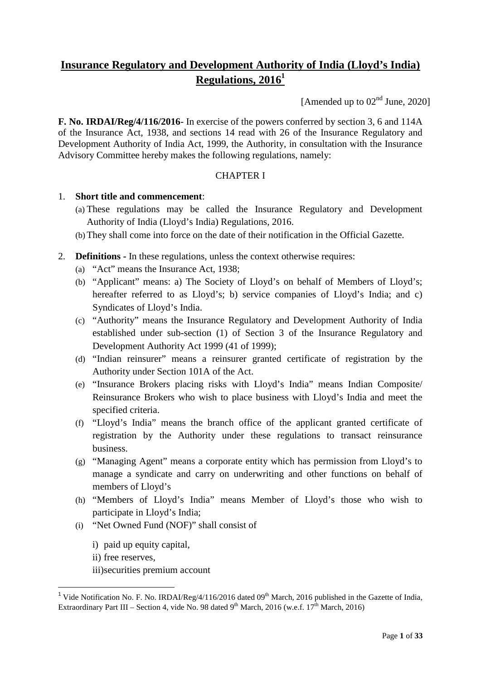# **Insurance Regulatory and Development Authority of India (Lloyd's India) Regulations, 2016<sup>1</sup>**

[Amended up to  $02<sup>nd</sup>$  June, 2020]

**F. No. IRDAI/Reg/4/116/2016**- In exercise of the powers conferred by section 3, 6 and 114A of the Insurance Act, 1938, and sections 14 read with 26 of the Insurance Regulatory and Development Authority of India Act, 1999, the Authority, in consultation with the Insurance Advisory Committee hereby makes the following regulations, namely:

#### CHAPTER I

#### 1. **Short title and commencement**:

- (a) These regulations may be called the Insurance Regulatory and Development Authority of India (Lloyd's India) Regulations, 2016.
- (b)They shall come into force on the date of their notification in the Official Gazette.
- 2. **Definitions -** In these regulations, unless the context otherwise requires:
	- (a) "Act" means the Insurance Act, 1938;
	- (b) "Applicant" means: a) The Society of Lloyd's on behalf of Members of Lloyd's; hereafter referred to as Lloyd's; b) service companies of Lloyd's India; and c) Syndicates of Lloyd's India.
	- (c) "Authority" means the Insurance Regulatory and Development Authority of India established under sub-section (1) of Section 3 of the Insurance Regulatory and Development Authority Act 1999 (41 of 1999);
	- (d) "Indian reinsurer" means a reinsurer granted certificate of registration by the Authority under Section 101A of the Act.
	- (e) "Insurance Brokers placing risks with Lloyd's India" means Indian Composite/ Reinsurance Brokers who wish to place business with Lloyd's India and meet the specified criteria.
	- (f) "Lloyd's India" means the branch office of the applicant granted certificate of registration by the Authority under these regulations to transact reinsurance business.
	- (g) "Managing Agent" means a corporate entity which has permission from Lloyd's to manage a syndicate and carry on underwriting and other functions on behalf of members of Lloyd's
	- (h) "Members of Lloyd's India" means Member of Lloyd's those who wish to participate in Lloyd's India;
	- (i) "Net Owned Fund (NOF)" shall consist of
		- i) paid up equity capital,
		- ii) free reserves,

iii)securities premium account

<sup>&</sup>lt;sup>1</sup> Vide Notification No. F. No. IRDAI/Reg/4/116/2016 dated  $09<sup>th</sup>$  March, 2016 published in the Gazette of India, Extraordinary Part III – Section 4, vide No. 98 dated 9<sup>th</sup> March, 2016 (w.e.f. 17<sup>th</sup> March, 2016)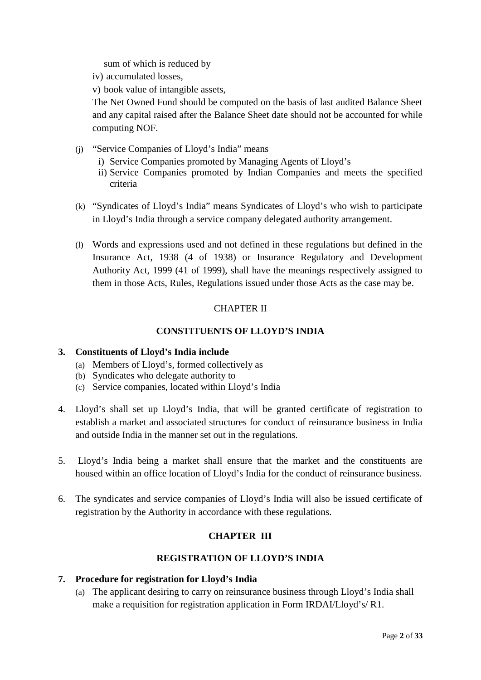sum of which is reduced by

- iv) accumulated losses,
- v) book value of intangible assets,

The Net Owned Fund should be computed on the basis of last audited Balance Sheet and any capital raised after the Balance Sheet date should not be accounted for while computing NOF.

- (j) "Service Companies of Lloyd's India" means
	- i) Service Companies promoted by Managing Agents of Lloyd's
	- ii) Service Companies promoted by Indian Companies and meets the specified criteria
- (k) "Syndicates of Lloyd's India" means Syndicates of Lloyd's who wish to participate in Lloyd's India through a service company delegated authority arrangement.
- (l) Words and expressions used and not defined in these regulations but defined in the Insurance Act, 1938 (4 of 1938) or Insurance Regulatory and Development Authority Act, 1999 (41 of 1999), shall have the meanings respectively assigned to them in those Acts, Rules, Regulations issued under those Acts as the case may be.

#### CHAPTER II

#### **CONSTITUENTS OF LLOYD'S INDIA**

#### **3. Constituents of Lloyd's India include**

- (a) Members of Lloyd's, formed collectively as
- (b) Syndicates who delegate authority to
- (c) Service companies, located within Lloyd's India
- 4. Lloyd's shall set up Lloyd's India, that will be granted certificate of registration to establish a market and associated structures for conduct of reinsurance business in India and outside India in the manner set out in the regulations.
- 5. Lloyd's India being a market shall ensure that the market and the constituents are housed within an office location of Lloyd's India for the conduct of reinsurance business.
- 6. The syndicates and service companies of Lloyd's India will also be issued certificate of registration by the Authority in accordance with these regulations.

#### **CHAPTER III**

#### **REGISTRATION OF LLOYD'S INDIA**

#### **7. Procedure for registration for Lloyd's India**

(a) The applicant desiring to carry on reinsurance business through Lloyd's India shall make a requisition for registration application in Form IRDAI/Lloyd's/ R1.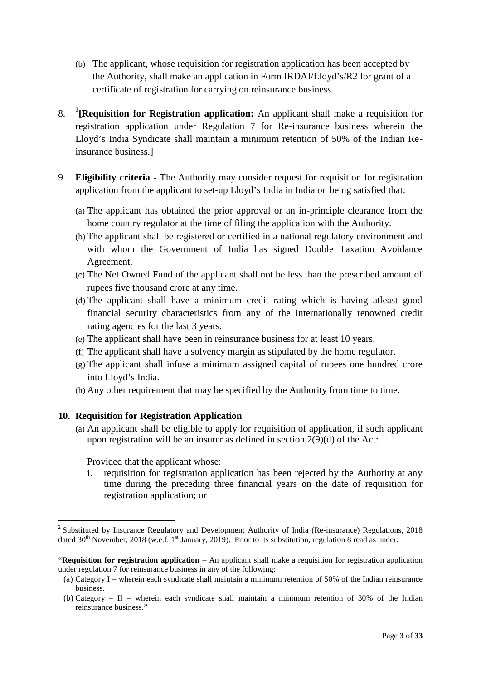- (b) The applicant, whose requisition for registration application has been accepted by the Authority, shall make an application in Form IRDAI/Lloyd's/R2 for grant of a certificate of registration for carrying on reinsurance business.
- 8. **<sup>2</sup> [Requisition for Registration application:** An applicant shall make a requisition for registration application under Regulation 7 for Re-insurance business wherein the Lloyd's India Syndicate shall maintain a minimum retention of 50% of the Indian Reinsurance business.]
- 9. **Eligibility criteria -** The Authority may consider request for requisition for registration application from the applicant to set-up Lloyd's India in India on being satisfied that:
	- (a) The applicant has obtained the prior approval or an in-principle clearance from the home country regulator at the time of filing the application with the Authority.
	- (b) The applicant shall be registered or certified in a national regulatory environment and with whom the Government of India has signed Double Taxation Avoidance Agreement.
	- (c) The Net Owned Fund of the applicant shall not be less than the prescribed amount of rupees five thousand crore at any time.
	- (d) The applicant shall have a minimum credit rating which is having atleast good financial security characteristics from any of the internationally renowned credit rating agencies for the last 3 years.
	- (e) The applicant shall have been in reinsurance business for at least 10 years.
	- (f) The applicant shall have a solvency margin as stipulated by the home regulator.
	- (g) The applicant shall infuse a minimum assigned capital of rupees one hundred crore into Lloyd's India.
	- (h) Any other requirement that may be specified by the Authority from time to time.

#### **10. Requisition for Registration Application**

(a) An applicant shall be eligible to apply for requisition of application, if such applicant upon registration will be an insurer as defined in section 2(9)(d) of the Act:

Provided that the applicant whose:

i. requisition for registration application has been rejected by the Authority at any time during the preceding three financial years on the date of requisition for registration application; or

<sup>&</sup>lt;sup>2</sup> Substituted by Insurance Regulatory and Development Authority of India (Re-insurance) Regulations, 2018 dated  $30<sup>th</sup>$  November, 2018 (w.e.f. 1st January, 2019). Prior to its substitution, regulation 8 read as under:

**<sup>&</sup>quot;Requisition for registration application** – An applicant shall make a requisition for registration application under regulation 7 for reinsurance business in any of the following:

<sup>(</sup>a) Category I – wherein each syndicate shall maintain a minimum retention of 50% of the Indian reinsurance business.

<sup>(</sup>b) Category – II – wherein each syndicate shall maintain a minimum retention of 30% of the Indian reinsurance business."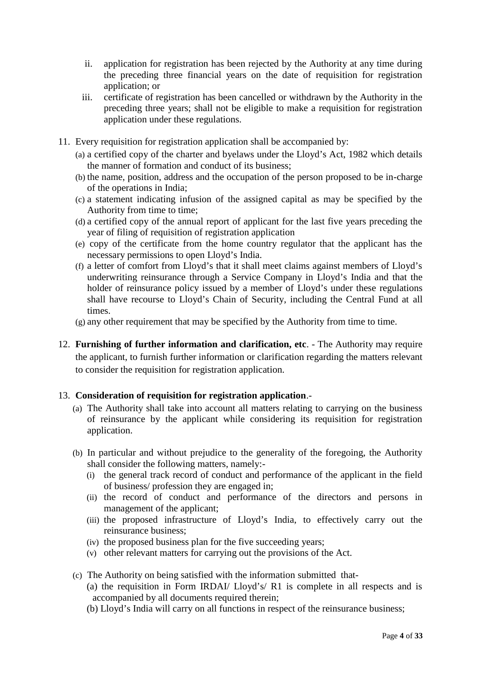- ii. application for registration has been rejected by the Authority at any time during the preceding three financial years on the date of requisition for registration application; or
- iii. certificate of registration has been cancelled or withdrawn by the Authority in the preceding three years; shall not be eligible to make a requisition for registration application under these regulations.
- 11. Every requisition for registration application shall be accompanied by:
	- (a) a certified copy of the charter and byelaws under the Lloyd's Act, 1982 which details the manner of formation and conduct of its business;
	- (b) the name, position, address and the occupation of the person proposed to be in-charge of the operations in India;
	- (c) a statement indicating infusion of the assigned capital as may be specified by the Authority from time to time;
	- (d) a certified copy of the annual report of applicant for the last five years preceding the year of filing of requisition of registration application
	- (e) copy of the certificate from the home country regulator that the applicant has the necessary permissions to open Lloyd's India.
	- (f) a letter of comfort from Lloyd's that it shall meet claims against members of Lloyd's underwriting reinsurance through a Service Company in Lloyd's India and that the holder of reinsurance policy issued by a member of Lloyd's under these regulations shall have recourse to Lloyd's Chain of Security, including the Central Fund at all times.
	- (g) any other requirement that may be specified by the Authority from time to time.
- 12. **Furnishing of further information and clarification, etc**. The Authority may require the applicant, to furnish further information or clarification regarding the matters relevant to consider the requisition for registration application.

#### 13. **Consideration of requisition for registration application**.-

- (a) The Authority shall take into account all matters relating to carrying on the business of reinsurance by the applicant while considering its requisition for registration application.
- (b) In particular and without prejudice to the generality of the foregoing, the Authority shall consider the following matters, namely:-
	- (i) the general track record of conduct and performance of the applicant in the field of business/ profession they are engaged in;
	- (ii) the record of conduct and performance of the directors and persons in management of the applicant;
	- (iii) the proposed infrastructure of Lloyd's India, to effectively carry out the reinsurance business;
	- (iv) the proposed business plan for the five succeeding years;
	- (v) other relevant matters for carrying out the provisions of the Act.
- (c) The Authority on being satisfied with the information submitted that-
	- (a) the requisition in Form IRDAI/ Lloyd's/ R1 is complete in all respects and is accompanied by all documents required therein;
	- (b) Lloyd's India will carry on all functions in respect of the reinsurance business;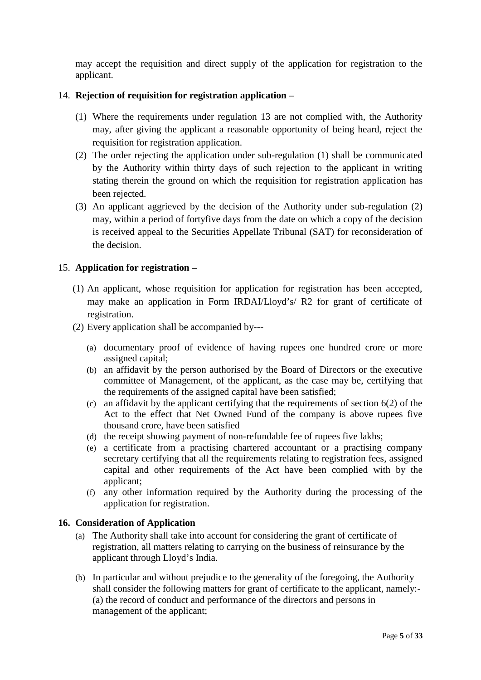may accept the requisition and direct supply of the application for registration to the applicant.

#### 14. **Rejection of requisition for registration application** –

- (1) Where the requirements under regulation 13 are not complied with, the Authority may, after giving the applicant a reasonable opportunity of being heard, reject the requisition for registration application.
- (2) The order rejecting the application under sub-regulation (1) shall be communicated by the Authority within thirty days of such rejection to the applicant in writing stating therein the ground on which the requisition for registration application has been rejected.
- (3) An applicant aggrieved by the decision of the Authority under sub-regulation (2) may, within a period of fortyfive days from the date on which a copy of the decision is received appeal to the Securities Appellate Tribunal (SAT) for reconsideration of the decision.

#### 15. **Application for registration –**

- (1) An applicant, whose requisition for application for registration has been accepted, may make an application in Form IRDAI/Lloyd's/ R2 for grant of certificate of registration.
- (2) Every application shall be accompanied by---
	- (a) documentary proof of evidence of having rupees one hundred crore or more assigned capital;
	- (b) an affidavit by the person authorised by the Board of Directors or the executive committee of Management, of the applicant, as the case may be, certifying that the requirements of the assigned capital have been satisfied;
	- (c) an affidavit by the applicant certifying that the requirements of section 6(2) of the Act to the effect that Net Owned Fund of the company is above rupees five thousand crore, have been satisfied
	- (d) the receipt showing payment of non-refundable fee of rupees five lakhs;
	- (e) a certificate from a practising chartered accountant or a practising company secretary certifying that all the requirements relating to registration fees, assigned capital and other requirements of the Act have been complied with by the applicant;
	- (f) any other information required by the Authority during the processing of the application for registration.

#### **16. Consideration of Application**

- (a) The Authority shall take into account for considering the grant of certificate of registration, all matters relating to carrying on the business of reinsurance by the applicant through Lloyd's India.
- (b) In particular and without prejudice to the generality of the foregoing, the Authority shall consider the following matters for grant of certificate to the applicant, namely:- (a) the record of conduct and performance of the directors and persons in management of the applicant;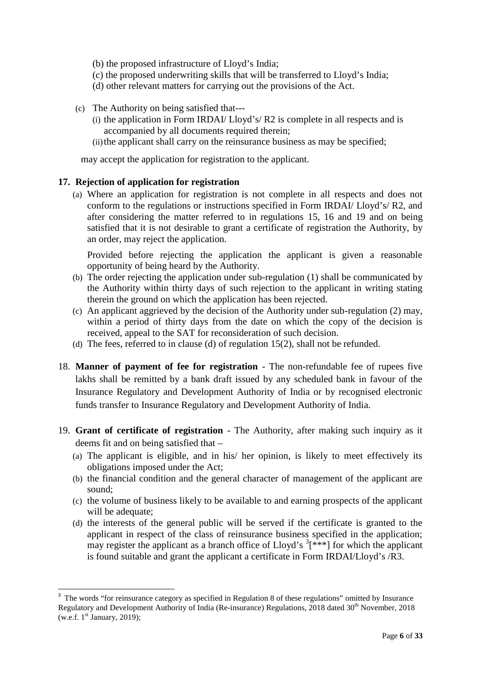(b) the proposed infrastructure of Lloyd's India;

- (c) the proposed underwriting skills that will be transferred to Lloyd's India;
- (d) other relevant matters for carrying out the provisions of the Act.
- (c) The Authority on being satisfied that---
	- (i) the application in Form IRDAI/ Lloyd's/ R2 is complete in all respects and is accompanied by all documents required therein;
	- (ii) the applicant shall carry on the reinsurance business as may be specified;

may accept the application for registration to the applicant.

#### **17. Rejection of application for registration**

(a) Where an application for registration is not complete in all respects and does not conform to the regulations or instructions specified in Form IRDAI/ Lloyd's/ R2, and after considering the matter referred to in regulations 15, 16 and 19 and on being satisfied that it is not desirable to grant a certificate of registration the Authority, by an order, may reject the application.

Provided before rejecting the application the applicant is given a reasonable opportunity of being heard by the Authority.

- (b) The order rejecting the application under sub-regulation (1) shall be communicated by the Authority within thirty days of such rejection to the applicant in writing stating therein the ground on which the application has been rejected.
- (c) An applicant aggrieved by the decision of the Authority under sub-regulation (2) may, within a period of thirty days from the date on which the copy of the decision is received, appeal to the SAT for reconsideration of such decision.
- (d) The fees, referred to in clause (d) of regulation 15(2), shall not be refunded.
- 18. **Manner of payment of fee for registration** The non-refundable fee of rupees five lakhs shall be remitted by a bank draft issued by any scheduled bank in favour of the Insurance Regulatory and Development Authority of India or by recognised electronic funds transfer to Insurance Regulatory and Development Authority of India.
- 19. **Grant of certificate of registration** The Authority, after making such inquiry as it deems fit and on being satisfied that –
	- (a) The applicant is eligible, and in his/ her opinion, is likely to meet effectively its obligations imposed under the Act;
	- (b) the financial condition and the general character of management of the applicant are sound;
	- (c) the volume of business likely to be available to and earning prospects of the applicant will be adequate;
	- (d) the interests of the general public will be served if the certificate is granted to the applicant in respect of the class of reinsurance business specified in the application; may register the applicant as a branch office of Lloyd's  $3$ [\*\*\*] for which the applicant is found suitable and grant the applicant a certificate in Form IRDAI/Lloyd's /R3.

<sup>3</sup> The words "for reinsurance category as specified in Regulation 8 of these regulations" omitted by Insurance Regulatory and Development Authority of India (Re-insurance) Regulations, 2018 dated 30th November, 2018 (w.e.f.  $1<sup>st</sup>$  January, 2019);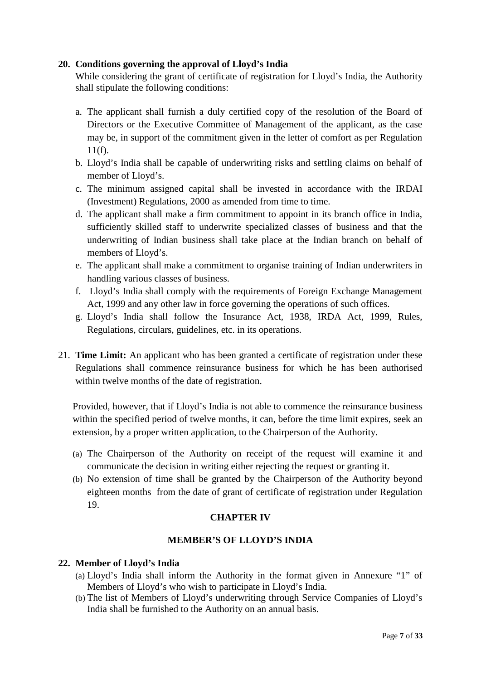#### **20. Conditions governing the approval of Lloyd's India**

While considering the grant of certificate of registration for Lloyd's India, the Authority shall stipulate the following conditions:

- a. The applicant shall furnish a duly certified copy of the resolution of the Board of Directors or the Executive Committee of Management of the applicant, as the case may be, in support of the commitment given in the letter of comfort as per Regulation 11(f).
- b. Lloyd's India shall be capable of underwriting risks and settling claims on behalf of member of Lloyd's.
- c. The minimum assigned capital shall be invested in accordance with the IRDAI (Investment) Regulations, 2000 as amended from time to time.
- d. The applicant shall make a firm commitment to appoint in its branch office in India, sufficiently skilled staff to underwrite specialized classes of business and that the underwriting of Indian business shall take place at the Indian branch on behalf of members of Lloyd's.
- e. The applicant shall make a commitment to organise training of Indian underwriters in handling various classes of business.
- f. Lloyd's India shall comply with the requirements of Foreign Exchange Management Act, 1999 and any other law in force governing the operations of such offices.
- g. Lloyd's India shall follow the Insurance Act, 1938, IRDA Act, 1999, Rules, Regulations, circulars, guidelines, etc. in its operations.
- 21. **Time Limit:** An applicant who has been granted a certificate of registration under these Regulations shall commence reinsurance business for which he has been authorised within twelve months of the date of registration.

Provided, however, that if Lloyd's India is not able to commence the reinsurance business within the specified period of twelve months, it can, before the time limit expires, seek an extension, by a proper written application, to the Chairperson of the Authority.

- (a) The Chairperson of the Authority on receipt of the request will examine it and communicate the decision in writing either rejecting the request or granting it.
- (b) No extension of time shall be granted by the Chairperson of the Authority beyond eighteen months from the date of grant of certificate of registration under Regulation 19.

#### **CHAPTER IV**

#### **MEMBER'S OF LLOYD'S INDIA**

#### **22. Member of Lloyd's India**

- (a) Lloyd's India shall inform the Authority in the format given in Annexure "1" of Members of Lloyd's who wish to participate in Lloyd's India.
- (b) The list of Members of Lloyd's underwriting through Service Companies of Lloyd's India shall be furnished to the Authority on an annual basis.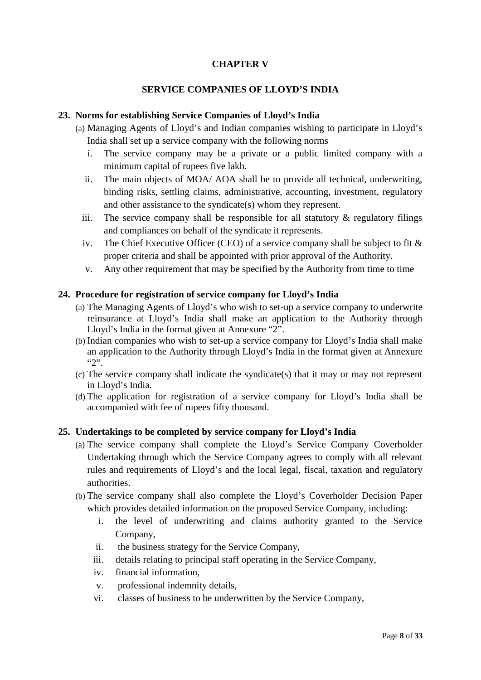### **CHAPTER V**

#### **SERVICE COMPANIES OF LLOYD'S INDIA**

#### **23. Norms for establishing Service Companies of Lloyd's India**

- (a) Managing Agents of Lloyd's and Indian companies wishing to participate in Lloyd's India shall set up a service company with the following norms
	- i. The service company may be a private or a public limited company with a minimum capital of rupees five lakh.
	- ii. The main objects of MOA/ AOA shall be to provide all technical, underwriting, binding risks, settling claims, administrative, accounting, investment, regulatory and other assistance to the syndicate(s) whom they represent.
	- iii. The service company shall be responsible for all statutory  $\&$  regulatory filings and compliances on behalf of the syndicate it represents.
	- iv. The Chief Executive Officer (CEO) of a service company shall be subject to fit & proper criteria and shall be appointed with prior approval of the Authority.
	- v. Any other requirement that may be specified by the Authority from time to time

#### **24. Procedure for registration of service company for Lloyd's India**

- (a) The Managing Agents of Lloyd's who wish to set-up a service company to underwrite reinsurance at Lloyd's India shall make an application to the Authority through Lloyd's India in the format given at Annexure "2".
- (b) Indian companies who wish to set-up a service company for Lloyd's India shall make an application to the Authority through Lloyd's India in the format given at Annexure "2".
- (c) The service company shall indicate the syndicate(s) that it may or may not represent in Lloyd's India.
- (d) The application for registration of a service company for Lloyd's India shall be accompanied with fee of rupees fifty thousand.

#### **25. Undertakings to be completed by service company for Lloyd's India**

- (a) The service company shall complete the Lloyd's Service Company Coverholder Undertaking through which the Service Company agrees to comply with all relevant rules and requirements of Lloyd's and the local legal, fiscal, taxation and regulatory authorities.
- (b) The service company shall also complete the Lloyd's Coverholder Decision Paper which provides detailed information on the proposed Service Company, including:
	- i. the level of underwriting and claims authority granted to the Service Company,
	- ii. the business strategy for the Service Company,
	- iii. details relating to principal staff operating in the Service Company,
	- iv. financial information,
	- v. professional indemnity details,
	- vi. classes of business to be underwritten by the Service Company,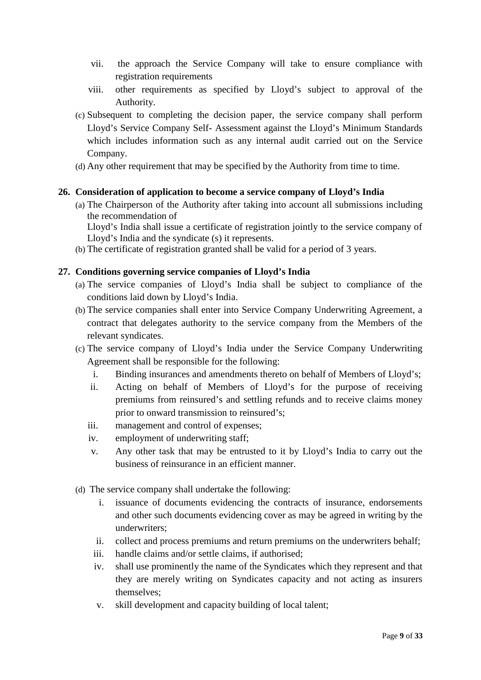- vii. the approach the Service Company will take to ensure compliance with registration requirements
- viii. other requirements as specified by Lloyd's subject to approval of the Authority.
- (c) Subsequent to completing the decision paper, the service company shall perform Lloyd's Service Company Self- Assessment against the Lloyd's Minimum Standards which includes information such as any internal audit carried out on the Service Company.
- (d) Any other requirement that may be specified by the Authority from time to time.

#### **26. Consideration of application to become a service company of Lloyd's India**

(a) The Chairperson of the Authority after taking into account all submissions including the recommendation of

Lloyd's India shall issue a certificate of registration jointly to the service company of Lloyd's India and the syndicate (s) it represents.

(b) The certificate of registration granted shall be valid for a period of 3 years.

#### **27. Conditions governing service companies of Lloyd's India**

- (a) The service companies of Lloyd's India shall be subject to compliance of the conditions laid down by Lloyd's India.
- (b) The service companies shall enter into Service Company Underwriting Agreement, a contract that delegates authority to the service company from the Members of the relevant syndicates.
- (c) The service company of Lloyd's India under the Service Company Underwriting Agreement shall be responsible for the following:
	- i. Binding insurances and amendments thereto on behalf of Members of Lloyd's;
	- ii. Acting on behalf of Members of Lloyd's for the purpose of receiving premiums from reinsured's and settling refunds and to receive claims money prior to onward transmission to reinsured's;
	- iii. management and control of expenses;
	- iv. employment of underwriting staff;
	- v. Any other task that may be entrusted to it by Lloyd's India to carry out the business of reinsurance in an efficient manner.
- (d) The service company shall undertake the following:
	- i. issuance of documents evidencing the contracts of insurance, endorsements and other such documents evidencing cover as may be agreed in writing by the underwriters;
	- ii. collect and process premiums and return premiums on the underwriters behalf;
	- iii. handle claims and/or settle claims, if authorised;
	- iv. shall use prominently the name of the Syndicates which they represent and that they are merely writing on Syndicates capacity and not acting as insurers themselves;
	- v. skill development and capacity building of local talent;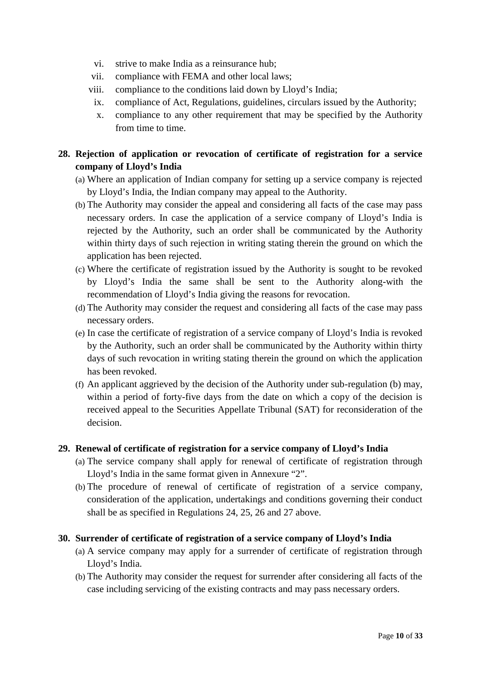- vi. strive to make India as a reinsurance hub;
- vii. compliance with FEMA and other local laws;
- viii. compliance to the conditions laid down by Lloyd's India;
- ix. compliance of Act, Regulations, guidelines, circulars issued by the Authority;
- x. compliance to any other requirement that may be specified by the Authority from time to time.

# **28. Rejection of application or revocation of certificate of registration for a service company of Lloyd's India**

- (a) Where an application of Indian company for setting up a service company is rejected by Lloyd's India, the Indian company may appeal to the Authority.
- (b) The Authority may consider the appeal and considering all facts of the case may pass necessary orders. In case the application of a service company of Lloyd's India is rejected by the Authority, such an order shall be communicated by the Authority within thirty days of such rejection in writing stating therein the ground on which the application has been rejected.
- (c) Where the certificate of registration issued by the Authority is sought to be revoked by Lloyd's India the same shall be sent to the Authority along-with the recommendation of Lloyd's India giving the reasons for revocation.
- (d) The Authority may consider the request and considering all facts of the case may pass necessary orders.
- (e) In case the certificate of registration of a service company of Lloyd's India is revoked by the Authority, such an order shall be communicated by the Authority within thirty days of such revocation in writing stating therein the ground on which the application has been revoked.
- (f) An applicant aggrieved by the decision of the Authority under sub-regulation (b) may, within a period of forty-five days from the date on which a copy of the decision is received appeal to the Securities Appellate Tribunal (SAT) for reconsideration of the decision.

#### **29. Renewal of certificate of registration for a service company of Lloyd's India**

- (a) The service company shall apply for renewal of certificate of registration through Lloyd's India in the same format given in Annexure "2".
- (b) The procedure of renewal of certificate of registration of a service company, consideration of the application, undertakings and conditions governing their conduct shall be as specified in Regulations 24, 25, 26 and 27 above.

#### **30. Surrender of certificate of registration of a service company of Lloyd's India**

- (a) A service company may apply for a surrender of certificate of registration through Lloyd's India.
- (b) The Authority may consider the request for surrender after considering all facts of the case including servicing of the existing contracts and may pass necessary orders.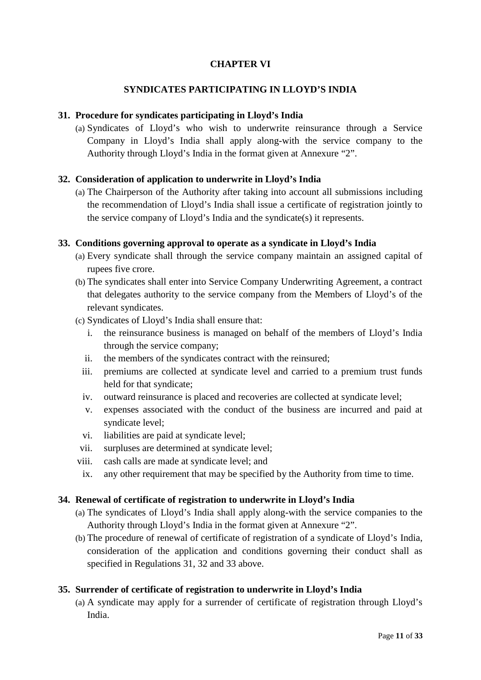# **CHAPTER VI**

#### **SYNDICATES PARTICIPATING IN LLOYD'S INDIA**

#### **31. Procedure for syndicates participating in Lloyd's India**

(a) Syndicates of Lloyd's who wish to underwrite reinsurance through a Service Company in Lloyd's India shall apply along-with the service company to the Authority through Lloyd's India in the format given at Annexure "2".

#### **32. Consideration of application to underwrite in Lloyd's India**

(a) The Chairperson of the Authority after taking into account all submissions including the recommendation of Lloyd's India shall issue a certificate of registration jointly to the service company of Lloyd's India and the syndicate(s) it represents.

#### **33. Conditions governing approval to operate as a syndicate in Lloyd's India**

- (a) Every syndicate shall through the service company maintain an assigned capital of rupees five crore.
- (b) The syndicates shall enter into Service Company Underwriting Agreement, a contract that delegates authority to the service company from the Members of Lloyd's of the relevant syndicates.
- (c) Syndicates of Lloyd's India shall ensure that:
	- i. the reinsurance business is managed on behalf of the members of Lloyd's India through the service company;
	- ii. the members of the syndicates contract with the reinsured;
	- iii. premiums are collected at syndicate level and carried to a premium trust funds held for that syndicate;
	- iv. outward reinsurance is placed and recoveries are collected at syndicate level;
	- v. expenses associated with the conduct of the business are incurred and paid at syndicate level;
	- vi. liabilities are paid at syndicate level;
	- vii. surpluses are determined at syndicate level;
- viii. cash calls are made at syndicate level; and
- ix. any other requirement that may be specified by the Authority from time to time.

#### **34. Renewal of certificate of registration to underwrite in Lloyd's India**

- (a) The syndicates of Lloyd's India shall apply along-with the service companies to the Authority through Lloyd's India in the format given at Annexure "2".
- (b) The procedure of renewal of certificate of registration of a syndicate of Lloyd's India, consideration of the application and conditions governing their conduct shall as specified in Regulations 31, 32 and 33 above.

#### **35. Surrender of certificate of registration to underwrite in Lloyd's India**

(a) A syndicate may apply for a surrender of certificate of registration through Lloyd's India.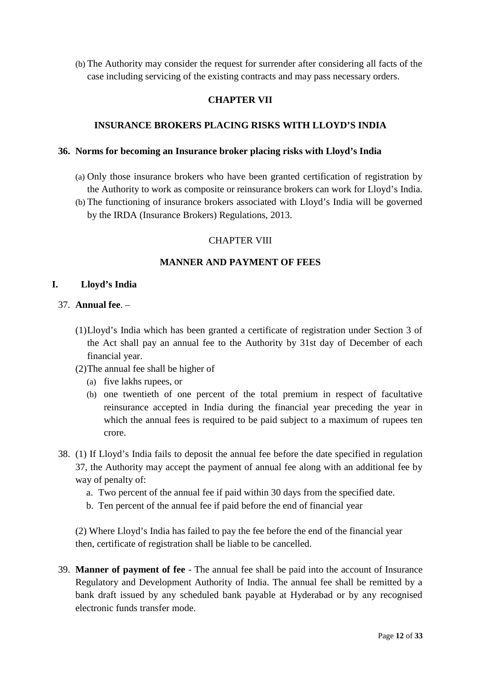(b) The Authority may consider the request for surrender after considering all facts of the case including servicing of the existing contracts and may pass necessary orders.

#### **CHAPTER VII**

#### **INSURANCE BROKERS PLACING RISKS WITH LLOYD'S INDIA**

#### **36. Norms for becoming an Insurance broker placing risks with Lloyd's India**

- (a) Only those insurance brokers who have been granted certification of registration by the Authority to work as composite or reinsurance brokers can work for Lloyd's India.
- (b) The functioning of insurance brokers associated with Lloyd's India will be governed by the IRDA (Insurance Brokers) Regulations, 2013.

#### CHAPTER VIII

#### **MANNER AND PAYMENT OF FEES**

#### **I. Lloyd's India**

#### 37. **Annual fee**. –

- (1)Lloyd's India which has been granted a certificate of registration under Section 3 of the Act shall pay an annual fee to the Authority by 31st day of December of each financial year.
- (2)The annual fee shall be higher of
	- (a) five lakhs rupees, or
	- (b) one twentieth of one percent of the total premium in respect of facultative reinsurance accepted in India during the financial year preceding the year in which the annual fees is required to be paid subject to a maximum of rupees ten crore.
- 38. (1) If Lloyd's India fails to deposit the annual fee before the date specified in regulation 37, the Authority may accept the payment of annual fee along with an additional fee by way of penalty of:
	- a. Two percent of the annual fee if paid within 30 days from the specified date.
	- b. Ten percent of the annual fee if paid before the end of financial year

(2) Where Lloyd's India has failed to pay the fee before the end of the financial year then, certificate of registration shall be liable to be cancelled.

39. **Manner of payment of fee** - The annual fee shall be paid into the account of Insurance Regulatory and Development Authority of India. The annual fee shall be remitted by a bank draft issued by any scheduled bank payable at Hyderabad or by any recognised electronic funds transfer mode.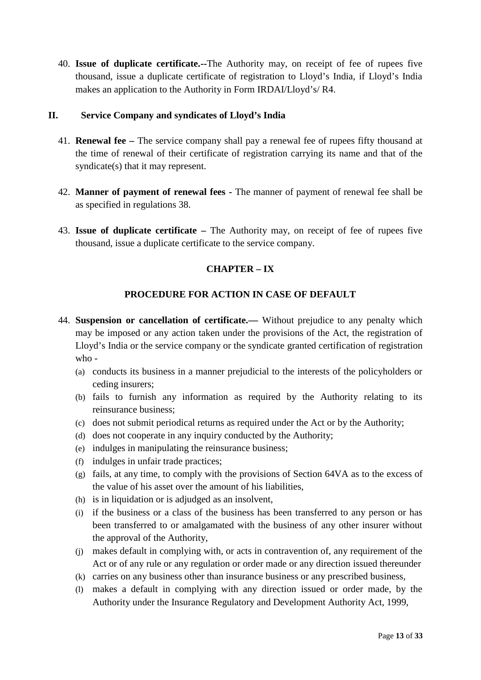40. **Issue of duplicate certificate.--**The Authority may, on receipt of fee of rupees five thousand, issue a duplicate certificate of registration to Lloyd's India, if Lloyd's India makes an application to the Authority in Form IRDAI/Lloyd's/ R4.

#### **II. Service Company and syndicates of Lloyd's India**

- 41. **Renewal fee –** The service company shall pay a renewal fee of rupees fifty thousand at the time of renewal of their certificate of registration carrying its name and that of the syndicate(s) that it may represent.
- 42. **Manner of payment of renewal fees -** The manner of payment of renewal fee shall be as specified in regulations 38.
- 43. **Issue of duplicate certificate –** The Authority may, on receipt of fee of rupees five thousand, issue a duplicate certificate to the service company.

# **CHAPTER – IX**

# **PROCEDURE FOR ACTION IN CASE OF DEFAULT**

- 44. **Suspension or cancellation of certificate.—** Without prejudice to any penalty which may be imposed or any action taken under the provisions of the Act, the registration of Lloyd's India or the service company or the syndicate granted certification of registration who -
	- (a) conducts its business in a manner prejudicial to the interests of the policyholders or ceding insurers;
	- (b) fails to furnish any information as required by the Authority relating to its reinsurance business;
	- (c) does not submit periodical returns as required under the Act or by the Authority;
	- (d) does not cooperate in any inquiry conducted by the Authority;
	- (e) indulges in manipulating the reinsurance business;
	- (f) indulges in unfair trade practices;
	- (g) fails, at any time, to comply with the provisions of Section 64VA as to the excess of the value of his asset over the amount of his liabilities,
	- (h) is in liquidation or is adjudged as an insolvent,
	- (i) if the business or a class of the business has been transferred to any person or has been transferred to or amalgamated with the business of any other insurer without the approval of the Authority,
	- (j) makes default in complying with, or acts in contravention of, any requirement of the Act or of any rule or any regulation or order made or any direction issued thereunder
	- (k) carries on any business other than insurance business or any prescribed business,
	- (l) makes a default in complying with any direction issued or order made, by the Authority under the Insurance Regulatory and Development Authority Act, 1999,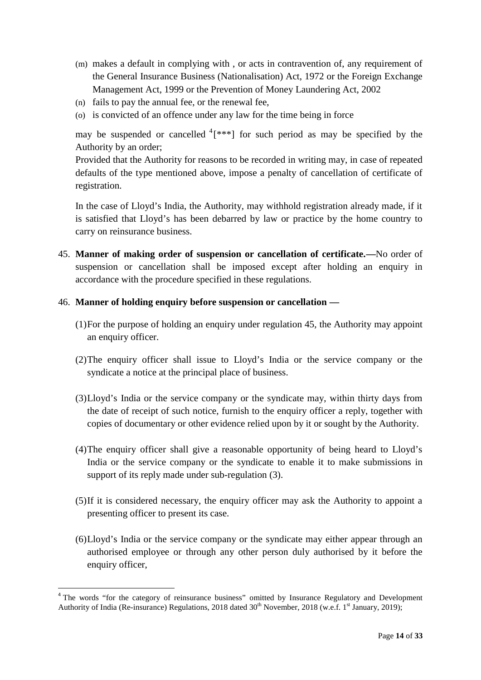- (m) makes a default in complying with , or acts in contravention of, any requirement of the General Insurance Business (Nationalisation) Act, 1972 or the Foreign Exchange Management Act, 1999 or the Prevention of Money Laundering Act, 2002
- (n) fails to pay the annual fee, or the renewal fee,
- (o) is convicted of an offence under any law for the time being in force

may be suspended or cancelled  $(4$ [\*\*\*] for such period as may be specified by the Authority by an order;

Provided that the Authority for reasons to be recorded in writing may, in case of repeated defaults of the type mentioned above, impose a penalty of cancellation of certificate of registration.

In the case of Lloyd's India, the Authority, may withhold registration already made, if it is satisfied that Lloyd's has been debarred by law or practice by the home country to carry on reinsurance business.

45. **Manner of making order of suspension or cancellation of certificate.—**No order of suspension or cancellation shall be imposed except after holding an enquiry in accordance with the procedure specified in these regulations.

#### 46. **Manner of holding enquiry before suspension or cancellation —**

- (1)For the purpose of holding an enquiry under regulation 45, the Authority may appoint an enquiry officer.
- (2)The enquiry officer shall issue to Lloyd's India or the service company or the syndicate a notice at the principal place of business.
- (3)Lloyd's India or the service company or the syndicate may, within thirty days from the date of receipt of such notice, furnish to the enquiry officer a reply, together with copies of documentary or other evidence relied upon by it or sought by the Authority.
- (4)The enquiry officer shall give a reasonable opportunity of being heard to Lloyd's India or the service company or the syndicate to enable it to make submissions in support of its reply made under sub-regulation (3).
- (5)If it is considered necessary, the enquiry officer may ask the Authority to appoint a presenting officer to present its case.
- (6)Lloyd's India or the service company or the syndicate may either appear through an authorised employee or through any other person duly authorised by it before the enquiry officer,

<sup>&</sup>lt;sup>4</sup> The words "for the category of reinsurance business" omitted by Insurance Regulatory and Development Authority of India (Re-insurance) Regulations, 2018 dated  $30<sup>th</sup>$  November, 2018 (w.e.f. 1<sup>st</sup> January, 2019);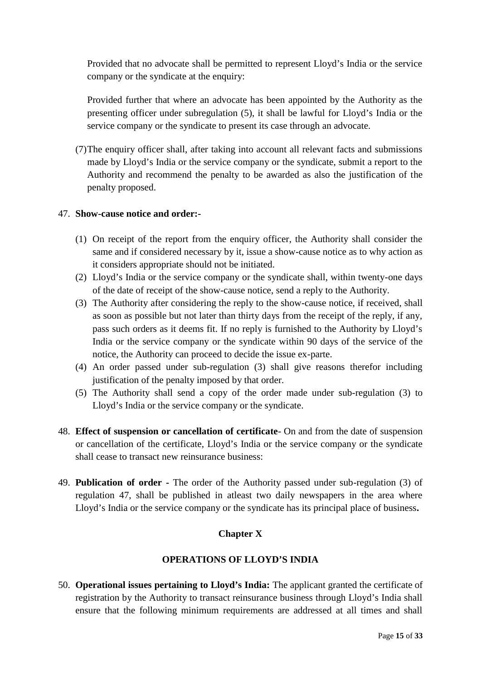Provided that no advocate shall be permitted to represent Lloyd's India or the service company or the syndicate at the enquiry:

Provided further that where an advocate has been appointed by the Authority as the presenting officer under subregulation (5), it shall be lawful for Lloyd's India or the service company or the syndicate to present its case through an advocate.

(7)The enquiry officer shall, after taking into account all relevant facts and submissions made by Lloyd's India or the service company or the syndicate, submit a report to the Authority and recommend the penalty to be awarded as also the justification of the penalty proposed.

#### 47. **Show-cause notice and order:-**

- (1) On receipt of the report from the enquiry officer, the Authority shall consider the same and if considered necessary by it, issue a show-cause notice as to why action as it considers appropriate should not be initiated.
- (2) Lloyd's India or the service company or the syndicate shall, within twenty-one days of the date of receipt of the show-cause notice, send a reply to the Authority.
- (3) The Authority after considering the reply to the show-cause notice, if received, shall as soon as possible but not later than thirty days from the receipt of the reply, if any, pass such orders as it deems fit. If no reply is furnished to the Authority by Lloyd's India or the service company or the syndicate within 90 days of the service of the notice, the Authority can proceed to decide the issue ex-parte.
- (4) An order passed under sub-regulation (3) shall give reasons therefor including justification of the penalty imposed by that order.
- (5) The Authority shall send a copy of the order made under sub-regulation (3) to Lloyd's India or the service company or the syndicate.
- 48. **Effect of suspension or cancellation of certificate** On and from the date of suspension or cancellation of the certificate, Lloyd's India or the service company or the syndicate shall cease to transact new reinsurance business:
- 49. **Publication of order -** The order of the Authority passed under sub-regulation (3) of regulation 47, shall be published in atleast two daily newspapers in the area where Lloyd's India or the service company or the syndicate has its principal place of business**.**

#### **Chapter X**

#### **OPERATIONS OF LLOYD'S INDIA**

50. **Operational issues pertaining to Lloyd's India:** The applicant granted the certificate of registration by the Authority to transact reinsurance business through Lloyd's India shall ensure that the following minimum requirements are addressed at all times and shall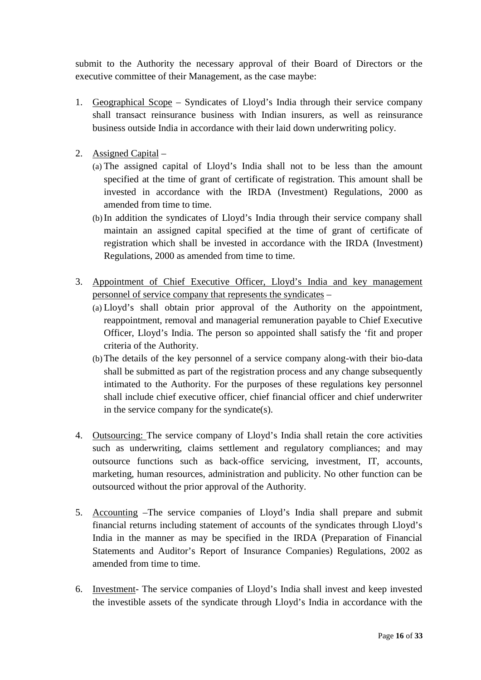submit to the Authority the necessary approval of their Board of Directors or the executive committee of their Management, as the case maybe:

- 1. Geographical Scope Syndicates of Lloyd's India through their service company shall transact reinsurance business with Indian insurers, as well as reinsurance business outside India in accordance with their laid down underwriting policy.
- 2. Assigned Capital
	- (a) The assigned capital of Lloyd's India shall not to be less than the amount specified at the time of grant of certificate of registration. This amount shall be invested in accordance with the IRDA (Investment) Regulations, 2000 as amended from time to time.
	- (b) In addition the syndicates of Lloyd's India through their service company shall maintain an assigned capital specified at the time of grant of certificate of registration which shall be invested in accordance with the IRDA (Investment) Regulations, 2000 as amended from time to time.
- 3. Appointment of Chief Executive Officer, Lloyd's India and key management personnel of service company that represents the syndicates –
	- (a) Lloyd's shall obtain prior approval of the Authority on the appointment, reappointment, removal and managerial remuneration payable to Chief Executive Officer, Lloyd's India. The person so appointed shall satisfy the 'fit and proper criteria of the Authority.
	- (b)The details of the key personnel of a service company along-with their bio-data shall be submitted as part of the registration process and any change subsequently intimated to the Authority. For the purposes of these regulations key personnel shall include chief executive officer, chief financial officer and chief underwriter in the service company for the syndicate(s).
- 4. Outsourcing: The service company of Lloyd's India shall retain the core activities such as underwriting, claims settlement and regulatory compliances; and may outsource functions such as back-office servicing, investment, IT, accounts, marketing, human resources, administration and publicity. No other function can be outsourced without the prior approval of the Authority.
- 5. Accounting –The service companies of Lloyd's India shall prepare and submit financial returns including statement of accounts of the syndicates through Lloyd's India in the manner as may be specified in the IRDA (Preparation of Financial Statements and Auditor's Report of Insurance Companies) Regulations, 2002 as amended from time to time.
- 6. Investment- The service companies of Lloyd's India shall invest and keep invested the investible assets of the syndicate through Lloyd's India in accordance with the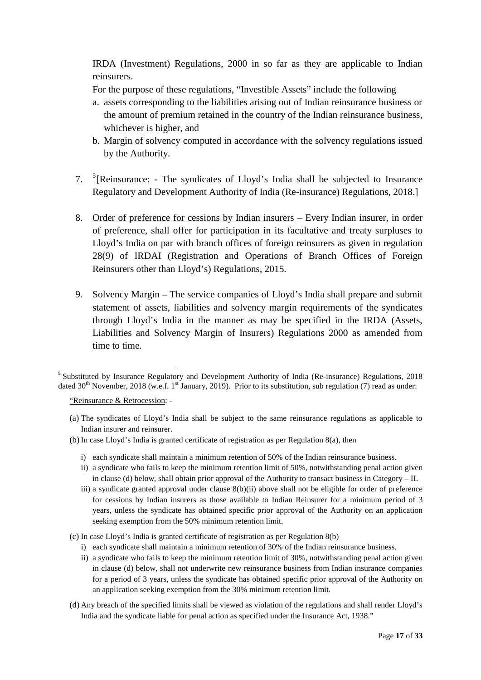IRDA (Investment) Regulations, 2000 in so far as they are applicable to Indian reinsurers.

For the purpose of these regulations, "Investible Assets" include the following

- a. assets corresponding to the liabilities arising out of Indian reinsurance business or the amount of premium retained in the country of the Indian reinsurance business, whichever is higher, and
- b. Margin of solvency computed in accordance with the solvency regulations issued by the Authority.
- 7. <sup>5</sup> [Reinsurance: The syndicates of Lloyd's India shall be subjected to Insurance Regulatory and Development Authority of India (Re-insurance) Regulations, 2018.]
- 8. Order of preference for cessions by Indian insurers Every Indian insurer, in order of preference, shall offer for participation in its facultative and treaty surpluses to Lloyd's India on par with branch offices of foreign reinsurers as given in regulation 28(9) of IRDAI (Registration and Operations of Branch Offices of Foreign Reinsurers other than Lloyd's) Regulations, 2015.
- 9. Solvency Margin The service companies of Lloyd's India shall prepare and submit statement of assets, liabilities and solvency margin requirements of the syndicates through Lloyd's India in the manner as may be specified in the IRDA (Assets, Liabilities and Solvency Margin of Insurers) Regulations 2000 as amended from time to time.

"Reinsurance & Retrocession: -

- (b) In case Lloyd's India is granted certificate of registration as per Regulation 8(a), then
	- i) each syndicate shall maintain a minimum retention of 50% of the Indian reinsurance business.
	- ii) a syndicate who fails to keep the minimum retention limit of 50%, notwithstanding penal action given in clause (d) below, shall obtain prior approval of the Authority to transact business in Category – II.
	- iii) a syndicate granted approval under clause 8(b)(ii) above shall not be eligible for order of preference for cessions by Indian insurers as those available to Indian Reinsurer for a minimum period of 3 years, unless the syndicate has obtained specific prior approval of the Authority on an application seeking exemption from the 50% minimum retention limit.
- (c) In case Lloyd's India is granted certificate of registration as per Regulation 8(b)
	- i) each syndicate shall maintain a minimum retention of 30% of the Indian reinsurance business.
	- ii) a syndicate who fails to keep the minimum retention limit of 30%, notwithstanding penal action given in clause (d) below, shall not underwrite new reinsurance business from Indian insurance companies for a period of 3 years, unless the syndicate has obtained specific prior approval of the Authority on an application seeking exemption from the 30% minimum retention limit.
- (d) Any breach of the specified limits shall be viewed as violation of the regulations and shall render Lloyd's India and the syndicate liable for penal action as specified under the Insurance Act, 1938."

<sup>5</sup> Substituted by Insurance Regulatory and Development Authority of India (Re-insurance) Regulations, 2018 dated 30<sup>th</sup> November, 2018 (w.e.f. 1<sup>st</sup> January, 2019). Prior to its substitution, sub regulation (7) read as under:

<sup>(</sup>a) The syndicates of Lloyd's India shall be subject to the same reinsurance regulations as applicable to Indian insurer and reinsurer.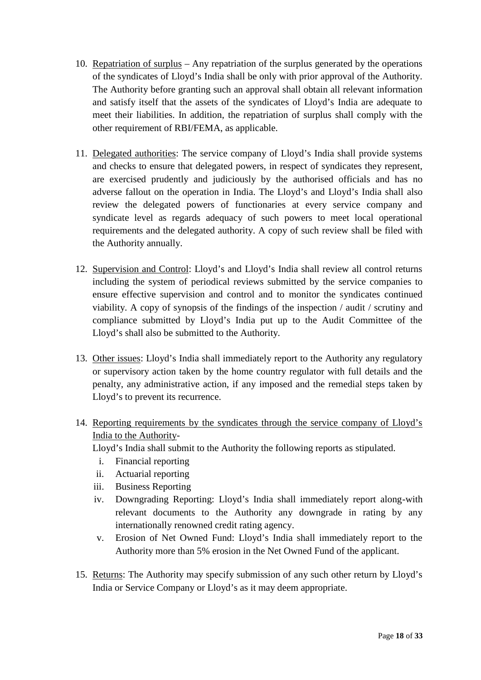- 10. Repatriation of surplus Any repatriation of the surplus generated by the operations of the syndicates of Lloyd's India shall be only with prior approval of the Authority. The Authority before granting such an approval shall obtain all relevant information and satisfy itself that the assets of the syndicates of Lloyd's India are adequate to meet their liabilities. In addition, the repatriation of surplus shall comply with the other requirement of RBI/FEMA, as applicable.
- 11. Delegated authorities: The service company of Lloyd's India shall provide systems and checks to ensure that delegated powers, in respect of syndicates they represent, are exercised prudently and judiciously by the authorised officials and has no adverse fallout on the operation in India. The Lloyd's and Lloyd's India shall also review the delegated powers of functionaries at every service company and syndicate level as regards adequacy of such powers to meet local operational requirements and the delegated authority. A copy of such review shall be filed with the Authority annually.
- 12. Supervision and Control: Lloyd's and Lloyd's India shall review all control returns including the system of periodical reviews submitted by the service companies to ensure effective supervision and control and to monitor the syndicates continued viability. A copy of synopsis of the findings of the inspection / audit / scrutiny and compliance submitted by Lloyd's India put up to the Audit Committee of the Lloyd's shall also be submitted to the Authority.
- 13. Other issues: Lloyd's India shall immediately report to the Authority any regulatory or supervisory action taken by the home country regulator with full details and the penalty, any administrative action, if any imposed and the remedial steps taken by Lloyd's to prevent its recurrence.
- 14. Reporting requirements by the syndicates through the service company of Lloyd's India to the Authority-

Lloyd's India shall submit to the Authority the following reports as stipulated.

- i. Financial reporting
- ii. Actuarial reporting
- iii. Business Reporting
- iv. Downgrading Reporting: Lloyd's India shall immediately report along-with relevant documents to the Authority any downgrade in rating by any internationally renowned credit rating agency.
- v. Erosion of Net Owned Fund: Lloyd's India shall immediately report to the Authority more than 5% erosion in the Net Owned Fund of the applicant.
- 15. Returns: The Authority may specify submission of any such other return by Lloyd's India or Service Company or Lloyd's as it may deem appropriate.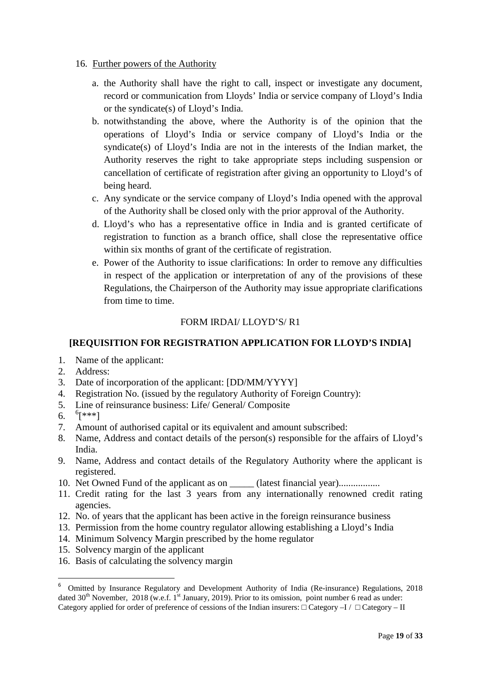- 16. Further powers of the Authority
	- a. the Authority shall have the right to call, inspect or investigate any document, record or communication from Lloyds' India or service company of Lloyd's India or the syndicate(s) of Lloyd's India.
	- b. notwithstanding the above, where the Authority is of the opinion that the operations of Lloyd's India or service company of Lloyd's India or the syndicate(s) of Lloyd's India are not in the interests of the Indian market, the Authority reserves the right to take appropriate steps including suspension or cancellation of certificate of registration after giving an opportunity to Lloyd's of being heard.
	- c. Any syndicate or the service company of Lloyd's India opened with the approval of the Authority shall be closed only with the prior approval of the Authority.
	- d. Lloyd's who has a representative office in India and is granted certificate of registration to function as a branch office, shall close the representative office within six months of grant of the certificate of registration.
	- e. Power of the Authority to issue clarifications: In order to remove any difficulties in respect of the application or interpretation of any of the provisions of these Regulations, the Chairperson of the Authority may issue appropriate clarifications from time to time.

# FORM IRDAI/ LLOYD'S/ R1

# **[REQUISITION FOR REGISTRATION APPLICATION FOR LLOYD'S INDIA]**

- 1. Name of the applicant:
- 2. Address:
- 3. Date of incorporation of the applicant: [DD/MM/YYYY]
- 4. Registration No. (issued by the regulatory Authority of Foreign Country):
- 5. Line of reinsurance business: Life/ General/ Composite
- 6.  $^{6}$ [\*\*\*]
- 7. Amount of authorised capital or its equivalent and amount subscribed:
- 8. Name, Address and contact details of the person(s) responsible for the affairs of Lloyd's India.
- 9. Name, Address and contact details of the Regulatory Authority where the applicant is registered.
- 10. Net Owned Fund of the applicant as on (latest financial year).................
- 11. Credit rating for the last 3 years from any internationally renowned credit rating agencies.
- 12. No. of years that the applicant has been active in the foreign reinsurance business
- 13. Permission from the home country regulator allowing establishing a Lloyd's India
- 14. Minimum Solvency Margin prescribed by the home regulator
- 15. Solvency margin of the applicant
- 16. Basis of calculating the solvency margin

<sup>6</sup> Omitted by Insurance Regulatory and Development Authority of India (Re-insurance) Regulations, 2018 dated  $30<sup>th</sup>$  November, 2018 (w.e.f. 1<sup>st</sup> January, 2019). Prior to its omission, point number 6 read as under: Category applied for order of preference of cessions of the Indian insurers:  $\text{Category} - I / \text{Category} - II$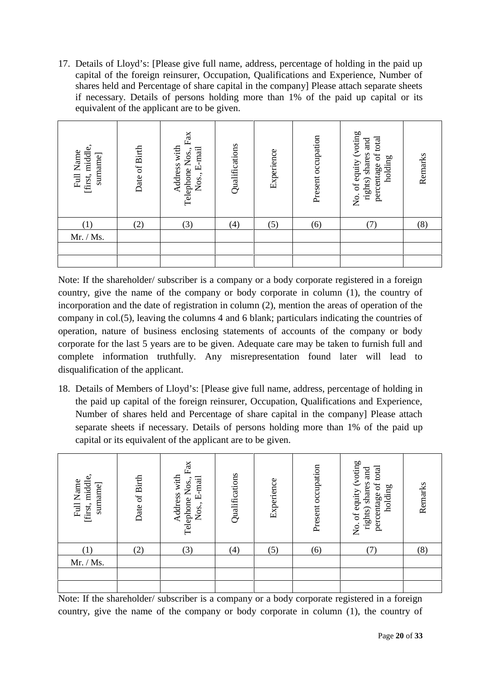17. Details of Lloyd's: [Please give full name, address, percentage of holding in the paid up capital of the foreign reinsurer, Occupation, Qualifications and Experience, Number of shares held and Percentage of share capital in the companyl Please attach separate sheets if necessary. Details of persons holding more than 1% of the paid up capital or its equivalent of the applicant are to be given.

| Date of Birth | $\rm{Fax}$<br>Address with<br>Telephone Nos.,<br>Nos., E-mail | Qualifications | Experience | Present occupation | No. of equity (voting<br>percentage of total<br>and<br>rights) shares<br>holding | Remarks |
|---------------|---------------------------------------------------------------|----------------|------------|--------------------|----------------------------------------------------------------------------------|---------|
| (2)           | (3)                                                           | (4)            | (5)        | (6)                |                                                                                  | (8)     |
|               |                                                               |                |            |                    |                                                                                  |         |
|               |                                                               |                |            |                    |                                                                                  |         |
|               |                                                               |                |            |                    |                                                                                  |         |

Note: If the shareholder/ subscriber is a company or a body corporate registered in a foreign country, give the name of the company or body corporate in column (1), the country of incorporation and the date of registration in column (2), mention the areas of operation of the company in col.(5), leaving the columns 4 and 6 blank; particulars indicating the countries of operation, nature of business enclosing statements of accounts of the company or body corporate for the last 5 years are to be given. Adequate care may be taken to furnish full and complete information truthfully. Any misrepresentation found later will lead to disqualification of the applicant.

18. Details of Members of Lloyd's: [Please give full name, address, percentage of holding in the paid up capital of the foreign reinsurer, Occupation, Qualifications and Experience, Number of shares held and Percentage of share capital in the company] Please attach separate sheets if necessary. Details of persons holding more than 1% of the paid up capital or its equivalent of the applicant are to be given.

| [first, middle,<br>Full Name<br>surname | of Birth<br>Date | $\mbox{Fax}$<br>Address with<br>E-mail<br>Telephone Nos.,<br>Nos., | Qualifications | Experience | Present occupation | No. of equity (voting<br>percentage of total<br>and<br>rights) shares<br>holding | Remarks |
|-----------------------------------------|------------------|--------------------------------------------------------------------|----------------|------------|--------------------|----------------------------------------------------------------------------------|---------|
|                                         | (2)              | (3)                                                                | (4)            | (5)        | (6)                |                                                                                  | (8)     |
| Mr. / Ms.                               |                  |                                                                    |                |            |                    |                                                                                  |         |
|                                         |                  |                                                                    |                |            |                    |                                                                                  |         |
|                                         |                  |                                                                    |                |            |                    |                                                                                  |         |

Note: If the shareholder/ subscriber is a company or a body corporate registered in a foreign country, give the name of the company or body corporate in column (1), the country of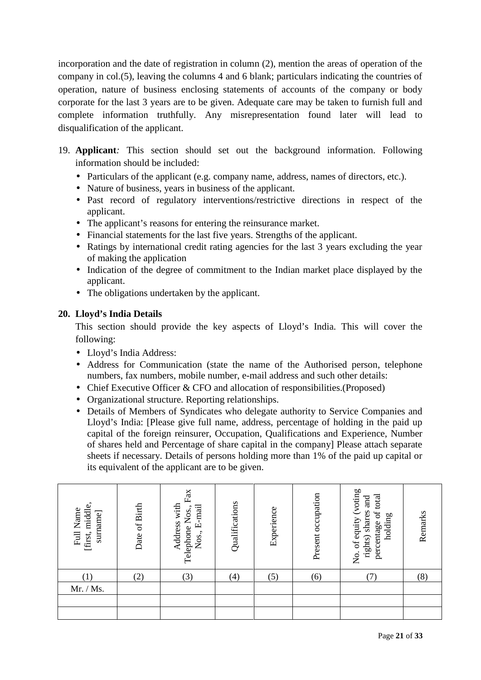incorporation and the date of registration in column (2), mention the areas of operation of the company in col.(5), leaving the columns 4 and 6 blank; particulars indicating the countries of operation, nature of business enclosing statements of accounts of the company or body corporate for the last 3 years are to be given. Adequate care may be taken to furnish full and complete information truthfully. Any misrepresentation found later will lead to disqualification of the applicant.

- 19. **Applicant***:* This section should set out the background information. Following information should be included:
	- Particulars of the applicant (e.g. company name, address, names of directors, etc.).
	- Nature of business, years in business of the applicant.
	- Past record of regulatory interventions/restrictive directions in respect of the applicant.
	- The applicant's reasons for entering the reinsurance market.
	- Financial statements for the last five years. Strengths of the applicant.
	- Ratings by international credit rating agencies for the last 3 years excluding the year of making the application
	- Indication of the degree of commitment to the Indian market place displayed by the applicant.
	- The obligations undertaken by the applicant.

# **20. Lloyd's India Details**

This section should provide the key aspects of Lloyd's India. This will cover the following:

- Lloyd's India Address:
- Address for Communication (state the name of the Authorised person, telephone numbers, fax numbers, mobile number, e-mail address and such other details:
- Chief Executive Officer & CFO and allocation of responsibilities. (Proposed)
- Organizational structure. Reporting relationships.
- Details of Members of Syndicates who delegate authority to Service Companies and Lloyd's India: [Please give full name, address, percentage of holding in the paid up capital of the foreign reinsurer, Occupation, Qualifications and Experience, Number of shares held and Percentage of share capital in the company] Please attach separate sheets if necessary. Details of persons holding more than 1% of the paid up capital or its equivalent of the applicant are to be given.

| [first, middle,<br>Full Name<br>surname | Date of Birth | $\mbox{Fax}$<br>Address with<br>E-mail<br>Telephone Nos.,<br>Nos., | Qualifications | Experience | Present occupation | No. of equity (voting<br>total<br>and<br>rights) shares<br>percentage of<br>holding | Remarks |
|-----------------------------------------|---------------|--------------------------------------------------------------------|----------------|------------|--------------------|-------------------------------------------------------------------------------------|---------|
| (1)                                     | (2)           | (3)                                                                | (4)            | (5)        | (6)                |                                                                                     | (8)     |
| Mr. / Ms.                               |               |                                                                    |                |            |                    |                                                                                     |         |
|                                         |               |                                                                    |                |            |                    |                                                                                     |         |
|                                         |               |                                                                    |                |            |                    |                                                                                     |         |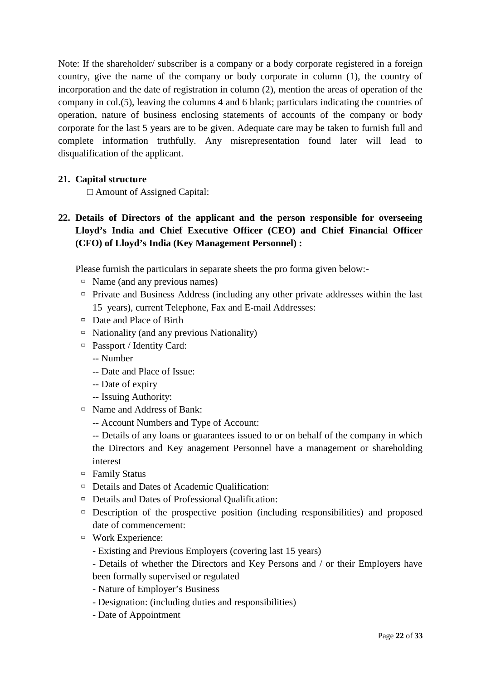Note: If the shareholder/ subscriber is a company or a body corporate registered in a foreign country, give the name of the company or body corporate in column (1), the country of incorporation and the date of registration in column (2), mention the areas of operation of the company in col.(5), leaving the columns 4 and 6 blank; particulars indicating the countries of operation, nature of business enclosing statements of accounts of the company or body corporate for the last 5 years are to be given. Adequate care may be taken to furnish full and complete information truthfully. Any misrepresentation found later will lead to disqualification of the applicant.

#### **21. Capital structure**

Amount of Assigned Capital:

# **22. Details of Directors of the applicant and the person responsible for overseeing Lloyd's India and Chief Executive Officer (CEO) and Chief Financial Officer (CFO) of Lloyd's India (Key Management Personnel) :**

Please furnish the particulars in separate sheets the pro forma given below:-

- $\Box$  Name (and any previous names)
- $\Box$  Private and Business Address (including any other private addresses within the last 15 years), current Telephone, Fax and E-mail Addresses:
- $\Box$  Date and Place of Birth
- $\Box$  Nationality (and any previous Nationality)
- Passport / Identity Card:
	- -- Number
	- -- Date and Place of Issue:
	- -- Date of expiry
	- -- Issuing Authority:
- Name and Address of Bank:
	- -- Account Numbers and Type of Account:
	- -- Details of any loans or guarantees issued to or on behalf of the company in which the Directors and Key anagement Personnel have a management or shareholding interest
- $\Box$  Family Status
- Details and Dates of Academic Qualification:
- $\Box$  Details and Dates of Professional Qualification:
- $\Box$  Description of the prospective position (including responsibilities) and proposed date of commencement:
- Work Experience:
	- Existing and Previous Employers (covering last 15 years)
	- Details of whether the Directors and Key Persons and / or their Employers have been formally supervised or regulated
	- Nature of Employer's Business
	- Designation: (including duties and responsibilities)
	- Date of Appointment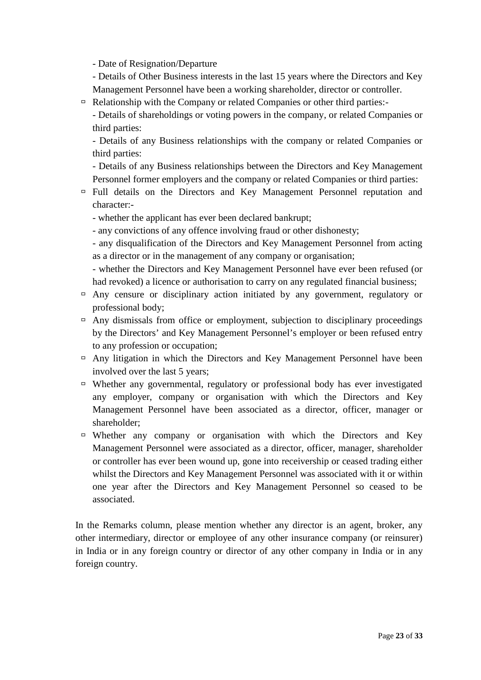- Date of Resignation/Departure

- Details of Other Business interests in the last 15 years where the Directors and Key Management Personnel have been a working shareholder, director or controller.
- $\Box$  Relationship with the Company or related Companies or other third parties:

- Details of shareholdings or voting powers in the company, or related Companies or third parties:

- Details of any Business relationships with the company or related Companies or third parties:

- Details of any Business relationships between the Directors and Key Management Personnel former employers and the company or related Companies or third parties:

- $\Box$  Full details on the Directors and Key Management Personnel reputation and character:-
	- whether the applicant has ever been declared bankrupt;
	- any convictions of any offence involving fraud or other dishonesty;

- any disqualification of the Directors and Key Management Personnel from acting as a director or in the management of any company or organisation;

- whether the Directors and Key Management Personnel have ever been refused (or had revoked) a licence or authorisation to carry on any regulated financial business;

- $\Box$  Any censure or disciplinary action initiated by any government, regulatory or professional body;
- $\Box$  Any dismissals from office or employment, subjection to disciplinary proceedings by the Directors' and Key Management Personnel's employer or been refused entry to any profession or occupation;
- $\Box$  Any litigation in which the Directors and Key Management Personnel have been involved over the last 5 years;
- $\Box$  Whether any governmental, regulatory or professional body has ever investigated any employer, company or organisation with which the Directors and Key Management Personnel have been associated as a director, officer, manager or shareholder;
- $\Box$  Whether any company or organisation with which the Directors and Key Management Personnel were associated as a director, officer, manager, shareholder or controller has ever been wound up, gone into receivership or ceased trading either whilst the Directors and Key Management Personnel was associated with it or within one year after the Directors and Key Management Personnel so ceased to be associated.

In the Remarks column, please mention whether any director is an agent, broker, any other intermediary, director or employee of any other insurance company (or reinsurer) in India or in any foreign country or director of any other company in India or in any foreign country.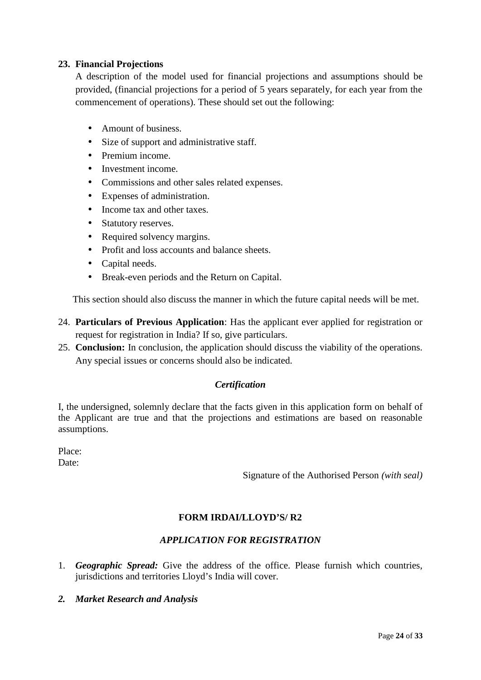#### **23. Financial Projections**

A description of the model used for financial projections and assumptions should be provided, (financial projections for a period of 5 years separately, for each year from the commencement of operations). These should set out the following:

- Amount of business.
- Size of support and administrative staff.
- Premium income.
- **Investment income**
- Commissions and other sales related expenses.
- Expenses of administration.
- Income tax and other taxes.
- Statutory reserves.
- Required solvency margins.
- Profit and loss accounts and balance sheets.
- Capital needs.
- Break-even periods and the Return on Capital.

This section should also discuss the manner in which the future capital needs will be met.

- 24. **Particulars of Previous Application**: Has the applicant ever applied for registration or request for registration in India? If so, give particulars.
- 25. **Conclusion:** In conclusion, the application should discuss the viability of the operations. Any special issues or concerns should also be indicated.

#### *Certification*

I, the undersigned, solemnly declare that the facts given in this application form on behalf of the Applicant are true and that the projections and estimations are based on reasonable assumptions.

Place: Date:

Signature of the Authorised Person *(with seal)*

#### **FORM IRDAI/LLOYD'S/ R2**

#### *APPLICATION FOR REGISTRATION*

- 1. *Geographic Spread:* Give the address of the office. Please furnish which countries, jurisdictions and territories Lloyd's India will cover.
- *2. Market Research and Analysis*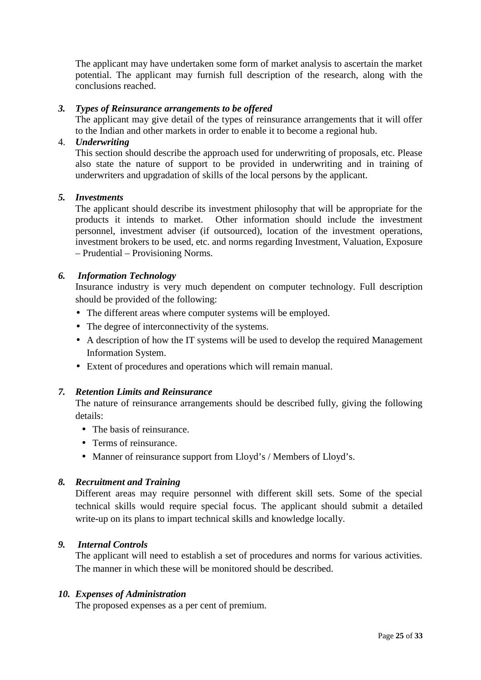The applicant may have undertaken some form of market analysis to ascertain the market potential. The applicant may furnish full description of the research, along with the conclusions reached.

#### *3. Types of Reinsurance arrangements to be offered*

The applicant may give detail of the types of reinsurance arrangements that it will offer to the Indian and other markets in order to enable it to become a regional hub.

#### 4. *Underwriting*

This section should describe the approach used for underwriting of proposals, etc. Please also state the nature of support to be provided in underwriting and in training of underwriters and upgradation of skills of the local persons by the applicant.

#### *5. Investments*

The applicant should describe its investment philosophy that will be appropriate for the products it intends to market. Other information should include the investment personnel, investment adviser (if outsourced), location of the investment operations, investment brokers to be used, etc. and norms regarding Investment, Valuation, Exposure – Prudential – Provisioning Norms.

#### *6. Information Technology*

Insurance industry is very much dependent on computer technology. Full description should be provided of the following:

- The different areas where computer systems will be employed.
- The degree of interconnectivity of the systems.
- A description of how the IT systems will be used to develop the required Management Information System.
- Extent of procedures and operations which will remain manual.

#### *7. Retention Limits and Reinsurance*

The nature of reinsurance arrangements should be described fully, giving the following details:

- The basis of reinsurance.
- Terms of reinsurance.
- Manner of reinsurance support from Lloyd's / Members of Lloyd's.

#### *8. Recruitment and Training*

Different areas may require personnel with different skill sets. Some of the special technical skills would require special focus. The applicant should submit a detailed write-up on its plans to impart technical skills and knowledge locally.

#### *9. Internal Controls*

The applicant will need to establish a set of procedures and norms for various activities. The manner in which these will be monitored should be described.

#### *10. Expenses of Administration*

The proposed expenses as a per cent of premium.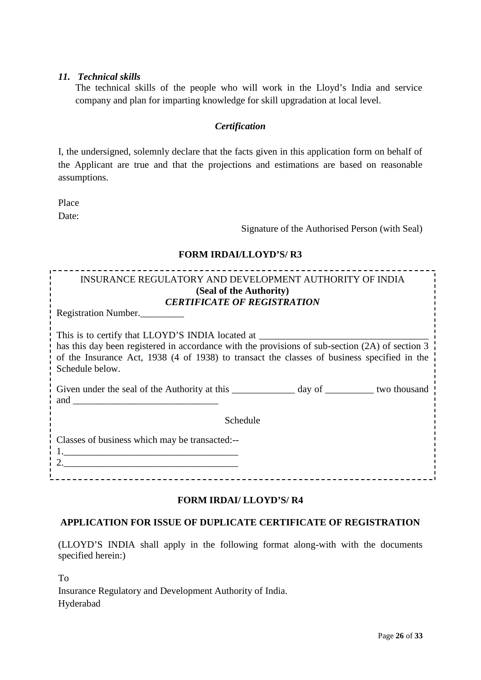#### *11. Technical skills*

The technical skills of the people who will work in the Lloyd's India and service company and plan for imparting knowledge for skill upgradation at local level.

#### *Certification*

I, the undersigned, solemnly declare that the facts given in this application form on behalf of the Applicant are true and that the projections and estimations are based on reasonable assumptions.

Place Date:

Signature of the Authorised Person (with Seal)

#### **FORM IRDAI/LLOYD'S/ R3**

# INSURANCE REGULATORY AND DEVELOPMENT AUTHORITY OF INDIA **(Seal of the Authority)** *CERTIFICATE OF REGISTRATION* Registration Number.\_\_\_\_\_\_\_\_\_ This is to certify that LLOYD'S INDIA located at has this day been registered in accordance with the provisions of sub-section (2A) of section 3 of the Insurance Act, 1938 (4 of 1938) to transact the classes of business specified in the Schedule below.

| Given under the seal of the Authority at this | day of | two thousand |  |
|-----------------------------------------------|--------|--------------|--|
| and                                           |        |              |  |
|                                               |        |              |  |

Schedule

Classes of business which may be transacted:--  $1.$ 

2.\_\_\_\_\_\_\_\_\_\_\_\_\_\_\_\_\_\_\_\_\_\_\_\_\_\_\_\_\_\_\_\_\_\_\_\_

# **FORM IRDAI/ LLOYD'S/ R4**

---------------------------------

# **APPLICATION FOR ISSUE OF DUPLICATE CERTIFICATE OF REGISTRATION**

(LLOYD'S INDIA shall apply in the following format along-with with the documents specified herein:)

To

Insurance Regulatory and Development Authority of India. Hyderabad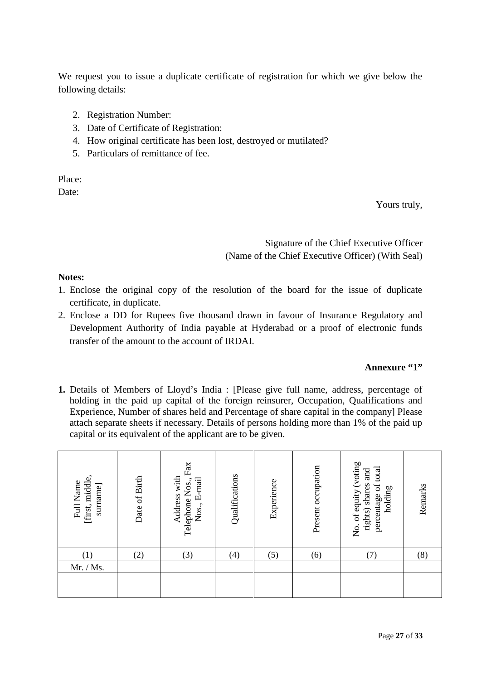We request you to issue a duplicate certificate of registration for which we give below the following details:

- 2. Registration Number:
- 3. Date of Certificate of Registration:
- 4. How original certificate has been lost, destroyed or mutilated?
- 5. Particulars of remittance of fee.

Place: Date:

Yours truly,

Signature of the Chief Executive Officer (Name of the Chief Executive Officer) (With Seal)

#### **Notes:**

- 1. Enclose the original copy of the resolution of the board for the issue of duplicate certificate, in duplicate.
- 2. Enclose a DD for Rupees five thousand drawn in favour of Insurance Regulatory and Development Authority of India payable at Hyderabad or a proof of electronic funds transfer of the amount to the account of IRDAI.

#### **Annexure "1"**

**1.** Details of Members of Lloyd's India : [Please give full name, address, percentage of holding in the paid up capital of the foreign reinsurer, Occupation, Qualifications and Experience, Number of shares held and Percentage of share capital in the company] Please attach separate sheets if necessary. Details of persons holding more than 1% of the paid up capital or its equivalent of the applicant are to be given.

| [first, middle,<br>Full Name<br>surname | Date of Birth | $\rm{Fax}$<br>Address with<br>Nos., E-mail<br>Telephone Nos., | Qualifications | Experience | Present occupation | No. of equity (voting<br>percentage of total<br>and<br>rights) shares<br>holding | Remarks |
|-----------------------------------------|---------------|---------------------------------------------------------------|----------------|------------|--------------------|----------------------------------------------------------------------------------|---------|
| (1)                                     | (2)           | (3)                                                           | (4)            | (5)        | (6)                |                                                                                  | (8)     |
| Mr. / Ms.                               |               |                                                               |                |            |                    |                                                                                  |         |
|                                         |               |                                                               |                |            |                    |                                                                                  |         |
|                                         |               |                                                               |                |            |                    |                                                                                  |         |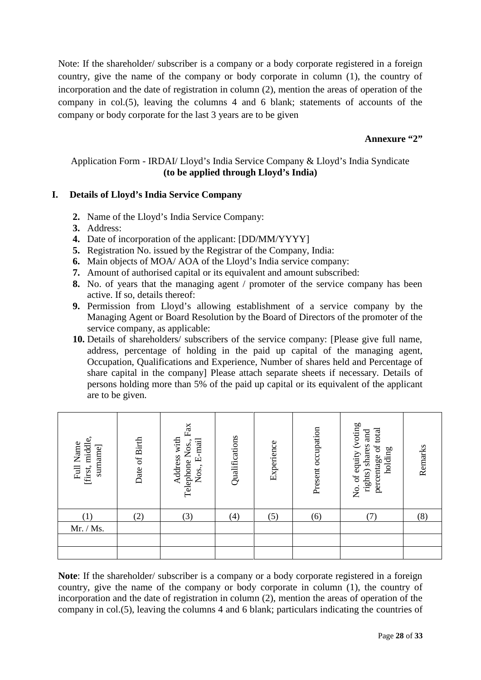Note: If the shareholder/ subscriber is a company or a body corporate registered in a foreign country, give the name of the company or body corporate in column (1), the country of incorporation and the date of registration in column (2), mention the areas of operation of the company in col.(5), leaving the columns 4 and 6 blank; statements of accounts of the company or body corporate for the last 3 years are to be given

#### Annexure "2"

#### Application Form - IRDAI/ Lloyd's India Service Company & Lloyd's India Syndicate **(to be applied through Lloyd's India)**

#### **I. Details of Lloyd's India Service Company**

- **2.** Name of the Lloyd's India Service Company:
- **3.** Address:
- **4.** Date of incorporation of the applicant: [DD/MM/YYYY]
- **5.** Registration No. issued by the Registrar of the Company, India:
- **6.** Main objects of MOA/ AOA of the Lloyd's India service company:
- **7.** Amount of authorised capital or its equivalent and amount subscribed:
- **8.** No. of years that the managing agent / promoter of the service company has been active. If so, details thereof:
- **9.** Permission from Lloyd's allowing establishment of a service company by the Managing Agent or Board Resolution by the Board of Directors of the promoter of the service company, as applicable:
- **10.** Details of shareholders/ subscribers of the service company: [Please give full name, address, percentage of holding in the paid up capital of the managing agent, Occupation, Qualifications and Experience, Number of shares held and Percentage of share capital in the company] Please attach separate sheets if necessary. Details of persons holding more than 5% of the paid up capital or its equivalent of the applicant are to be given.

| [first, middle,<br>Full Name<br>surname | Date of Birth | $\rm{Fax}$<br>Address with<br>Telephone Nos.,<br>E-mail<br>Nos., | Qualifications | Experience | Present occupation | No. of equity (voting<br>percentage of total<br>and<br>rights) shares<br>holding | Remarks |
|-----------------------------------------|---------------|------------------------------------------------------------------|----------------|------------|--------------------|----------------------------------------------------------------------------------|---------|
| (1)                                     | (2)           | (3)                                                              | (4)            | (5)        | (6)                | 7)                                                                               | (8)     |
| Mr. / Ms.                               |               |                                                                  |                |            |                    |                                                                                  |         |
|                                         |               |                                                                  |                |            |                    |                                                                                  |         |
|                                         |               |                                                                  |                |            |                    |                                                                                  |         |

**Note**: If the shareholder/ subscriber is a company or a body corporate registered in a foreign country, give the name of the company or body corporate in column (1), the country of incorporation and the date of registration in column (2), mention the areas of operation of the company in col.(5), leaving the columns 4 and 6 blank; particulars indicating the countries of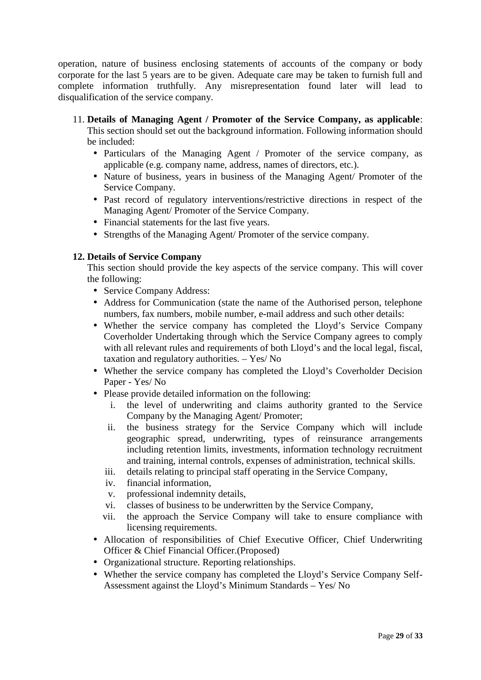operation, nature of business enclosing statements of accounts of the company or body corporate for the last 5 years are to be given. Adequate care may be taken to furnish full and complete information truthfully. Any misrepresentation found later will lead to disqualification of the service company.

11. **Details of Managing Agent / Promoter of the Service Company, as applicable**:

This section should set out the background information. Following information should be included:

- Particulars of the Managing Agent / Promoter of the service company, as applicable (e.g. company name, address, names of directors, etc.).
- Nature of business, years in business of the Managing Agent/ Promoter of the Service Company.
- Past record of regulatory interventions/restrictive directions in respect of the Managing Agent/ Promoter of the Service Company.
- Financial statements for the last five years.
- Strengths of the Managing Agent/ Promoter of the service company.

#### **12. Details of Service Company**

This section should provide the key aspects of the service company. This will cover the following:

- Service Company Address:
- Address for Communication (state the name of the Authorised person, telephone numbers, fax numbers, mobile number, e-mail address and such other details:
- Whether the service company has completed the Lloyd's Service Company Coverholder Undertaking through which the Service Company agrees to comply with all relevant rules and requirements of both Lloyd's and the local legal, fiscal, taxation and regulatory authorities. – Yes/ No
- Whether the service company has completed the Lloyd's Coverholder Decision Paper - Yes/ No
- Please provide detailed information on the following:
	- i. the level of underwriting and claims authority granted to the Service Company by the Managing Agent/ Promoter;
	- ii. the business strategy for the Service Company which will include geographic spread, underwriting, types of reinsurance arrangements including retention limits, investments, information technology recruitment and training, internal controls, expenses of administration, technical skills.
	- iii. details relating to principal staff operating in the Service Company,
	- iv. financial information,
	- v. professional indemnity details,
	- vi. classes of business to be underwritten by the Service Company,
	- vii. the approach the Service Company will take to ensure compliance with licensing requirements.
- Allocation of responsibilities of Chief Executive Officer, Chief Underwriting Officer & Chief Financial Officer.(Proposed)
- Organizational structure. Reporting relationships.
- Whether the service company has completed the Lloyd's Service Company Self- Assessment against the Lloyd's Minimum Standards – Yes/ No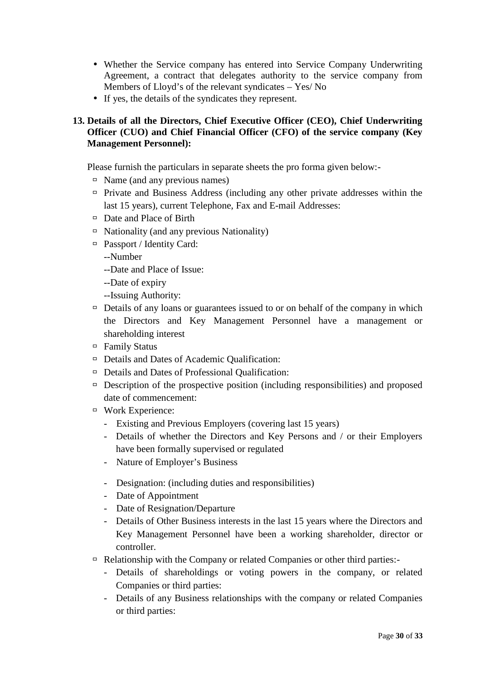- Whether the Service company has entered into Service Company Underwriting Agreement, a contract that delegates authority to the service company from Members of Lloyd's of the relevant syndicates – Yes/ No
- If yes, the details of the syndicates they represent.

# **13. Details of all the Directors, Chief Executive Officer (CEO), Chief Underwriting Officer (CUO) and Chief Financial Officer (CFO) of the service company (Key Management Personnel):**

Please furnish the particulars in separate sheets the pro forma given below:-

- $\Box$  Name (and any previous names)
- $\Box$  Private and Business Address (including any other private addresses within the last 15 years), current Telephone, Fax and E-mail Addresses:
- $\Box$  Date and Place of Birth
- $\Box$  Nationality (and any previous Nationality)
- $\Box$  Passport / Identity Card:
	- --Number
	- --Date and Place of Issue:
	- --Date of expiry
	- --Issuing Authority:
- $\Box$  Details of any loans or guarantees issued to or on behalf of the company in which the Directors and Key Management Personnel have a management or shareholding interest
- Family Status
- $\Box$  Details and Dates of Academic Qualification:
- $\Box$  Details and Dates of Professional Qualification:
- $\Box$  Description of the prospective position (including responsibilities) and proposed date of commencement:
- Work Experience:
	- Existing and Previous Employers (covering last 15 years)
	- Details of whether the Directors and Key Persons and / or their Employers have been formally supervised or regulated
	- Nature of Employer's Business
	- Designation: (including duties and responsibilities)
	- Date of Appointment
	- Date of Resignation/Departure
	- Details of Other Business interests in the last 15 years where the Directors and Key Management Personnel have been a working shareholder, director or controller.
- $\Box$  Relationship with the Company or related Companies or other third parties:-
	- Details of shareholdings or voting powers in the company, or related Companies or third parties:
	- Details of any Business relationships with the company or related Companies or third parties: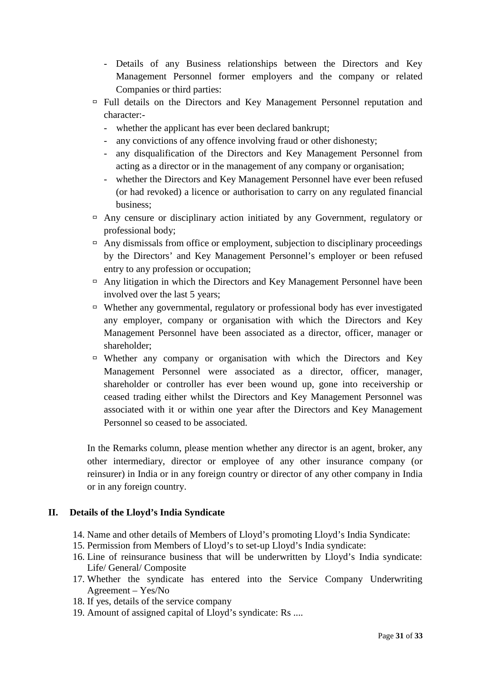- Details of any Business relationships between the Directors and Key Management Personnel former employers and the company or related Companies or third parties:
- Full details on the Directors and Key Management Personnel reputation and character:-
	- whether the applicant has ever been declared bankrupt;
	- any convictions of any offence involving fraud or other dishonesty;
	- any disqualification of the Directors and Key Management Personnel from acting as a director or in the management of any company or organisation;
	- whether the Directors and Key Management Personnel have ever been refused (or had revoked) a licence or authorisation to carry on any regulated financial business;
- $\Box$  Any censure or disciplinary action initiated by any Government, regulatory or professional body;
- $\Box$  Any dismissals from office or employment, subjection to disciplinary proceedings by the Directors' and Key Management Personnel's employer or been refused entry to any profession or occupation;
- $\Box$  Any litigation in which the Directors and Key Management Personnel have been involved over the last 5 years;
- $\Box$  Whether any governmental, regulatory or professional body has ever investigated any employer, company or organisation with which the Directors and Key Management Personnel have been associated as a director, officer, manager or shareholder;
- $\Box$  Whether any company or organisation with which the Directors and Key Management Personnel were associated as a director, officer, manager, shareholder or controller has ever been wound up, gone into receivership or ceased trading either whilst the Directors and Key Management Personnel was associated with it or within one year after the Directors and Key Management Personnel so ceased to be associated.

In the Remarks column, please mention whether any director is an agent, broker, any other intermediary, director or employee of any other insurance company (or reinsurer) in India or in any foreign country or director of any other company in India or in any foreign country.

#### **II. Details of the Lloyd's India Syndicate**

- 14. Name and other details of Members of Lloyd's promoting Lloyd's India Syndicate:
- 15. Permission from Members of Lloyd's to set-up Lloyd's India syndicate:
- 16. Line of reinsurance business that will be underwritten by Lloyd's India syndicate: Life/ General/ Composite
- 17. Whether the syndicate has entered into the Service Company Underwriting Agreement – Yes/No
- 18. If yes, details of the service company
- 19. Amount of assigned capital of Lloyd's syndicate: Rs ....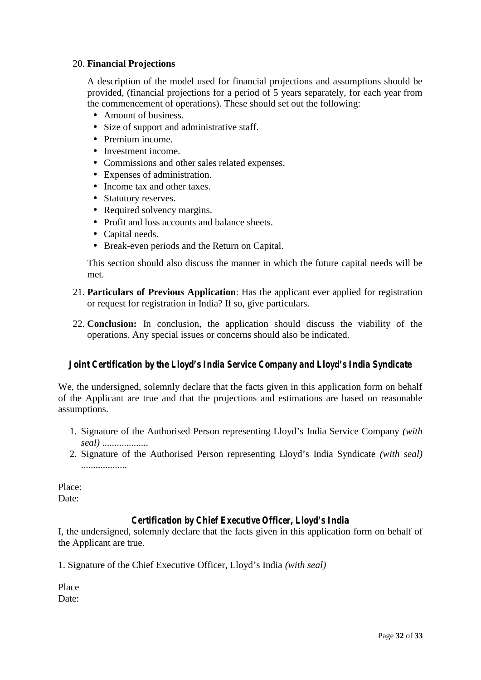#### 20. **Financial Projections**

A description of the model used for financial projections and assumptions should be provided, (financial projections for a period of 5 years separately, for each year from the commencement of operations). These should set out the following:

- Amount of business.
- Size of support and administrative staff.
- **•** Premium income.
- Investment income.
- Commissions and other sales related expenses.
- Expenses of administration.
- Income tax and other taxes.
- Statutory reserves.
- Required solvency margins.
- Profit and loss accounts and balance sheets.
- Capital needs.
- Break-even periods and the Return on Capital.

This section should also discuss the manner in which the future capital needs will be met.

- 21. **Particulars of Previous Application**: Has the applicant ever applied for registration or request for registration in India? If so, give particulars.
- 22. **Conclusion:** In conclusion, the application should discuss the viability of the operations. Any special issues or concerns should also be indicated.

#### *Joint Certification by the Lloyd's India Service Company and Lloyd's India Syndicate*

We, the undersigned, solemnly declare that the facts given in this application form on behalf of the Applicant are true and that the projections and estimations are based on reasonable assumptions.

- 1. Signature of the Authorised Person representing Lloyd's India Service Company *(with seal)* ...................
- 2. Signature of the Authorised Person representing Lloyd's India Syndicate *(with seal)* ...................

Place: Date:

#### *Certification by Chief Executive Officer, Lloyd's India*

I, the undersigned, solemnly declare that the facts given in this application form on behalf of the Applicant are true.

1. Signature of the Chief Executive Officer, Lloyd's India *(with seal)*

Place Date: